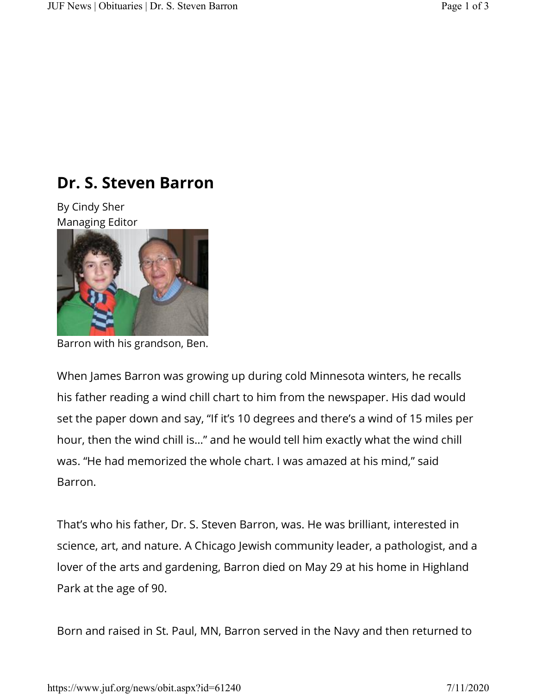## **Dr. S. Steven Barron**

By Cindy Sher Managing Editor



Barron with his grandson, Ben.

When James Barron was growing up during cold Minnesota winters, he recalls his father reading a wind chill chart to him from the newspaper. His dad would set the paper down and say, "If it's 10 degrees and there's a wind of 15 miles per hour, then the wind chill is…" and he would tell him exactly what the wind chill was. "He had memorized the whole chart. I was amazed at his mind," said Barron.

That's who his father, Dr. S. Steven Barron, was. He was brilliant, interested in science, art, and nature. A Chicago Jewish community leader, a pathologist, and a lover of the arts and gardening, Barron died on May 29 at his home in Highland Park at the age of 90.

Born and raised in St. Paul, MN, Barron served in the Navy and then returned to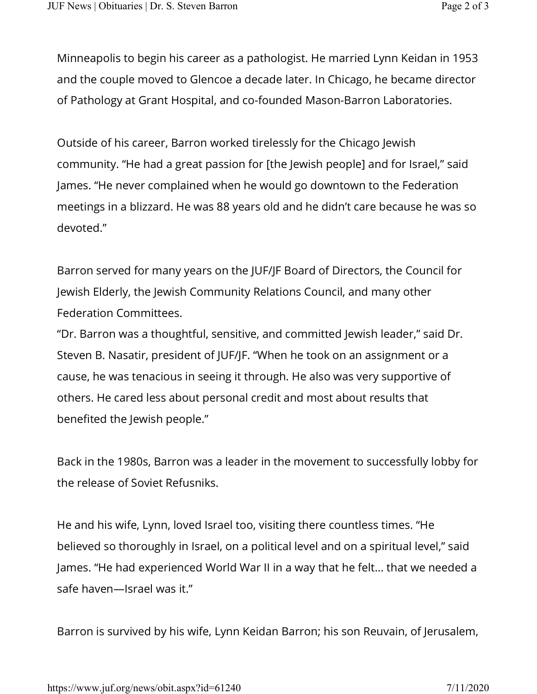Minneapolis to begin his career as a pathologist. He married Lynn Keidan in 1953 and the couple moved to Glencoe a decade later. In Chicago, he became director of Pathology at Grant Hospital, and co-founded Mason-Barron Laboratories.

Outside of his career, Barron worked tirelessly for the Chicago Jewish community. "He had a great passion for [the Jewish people] and for Israel," said James. "He never complained when he would go downtown to the Federation meetings in a blizzard. He was 88 years old and he didn't care because he was so devoted."

Barron served for many years on the JUF/JF Board of Directors, the Council for Jewish Elderly, the Jewish Community Relations Council, and many other Federation Committees.

"Dr. Barron was a thoughtful, sensitive, and committed Jewish leader," said Dr. Steven B. Nasatir, president of JUF/JF. "When he took on an assignment or a cause, he was tenacious in seeing it through. He also was very supportive of others. He cared less about personal credit and most about results that benefited the Jewish people."

Back in the 1980s, Barron was a leader in the movement to successfully lobby for the release of Soviet Refusniks.

He and his wife, Lynn, loved Israel too, visiting there countless times. "He believed so thoroughly in Israel, on a political level and on a spiritual level," said James. "He had experienced World War II in a way that he felt... that we needed a safe haven—Israel was it."

Barron is survived by his wife, Lynn Keidan Barron; his son Reuvain, of Jerusalem,